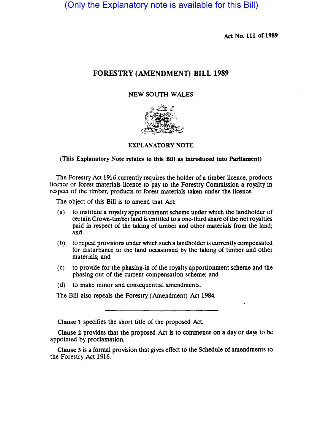(Only the Explanatory note is available for this Bill)

Act No. 111 of 1989

# FORESTRY (AMENDMENT) BILL 1989

### NEW SOUTH WALES



### EXPLANATORY NOTE

#### (This Explanatory Note relates to this Bill as introduced into Parliament)

The Forestry Act 1916 currently requires the holder of a timber licence, products licence or forest materials licence to pay to the Forestry Commission a royalty in respect of the timber, products or forest materials taken under the licence.

The object of this Bill is to amend that Act:

- (a) to institute a royalty apportionment scheme under which the landholder of certain Crown-timber land is entitled to a one-third share of the net royalties paid in respect of the taking of timber and other materials from the land; and
- (b) to repeal provisions under which such a landholder is currently compensated for disturbance to the land occasioned by the taking of timber and other materials; and
- (c) to provide for the phasing-in of the royalty apportionment scheme and the phasing-out of the current compensation scheme; and
- (d) to make minor and consequential amendments.

The Bill also repeals the Forestry (Amendment) Act 1984.

Clause 1 specifies the short title of the proposed Act

Clause 2 provides that the proposed Act is to commence on a day or days to be appointed by proclamation.

Clause 3 is a formal provision that gives effect to the Schedule of amendments to the Forestry Act 1916.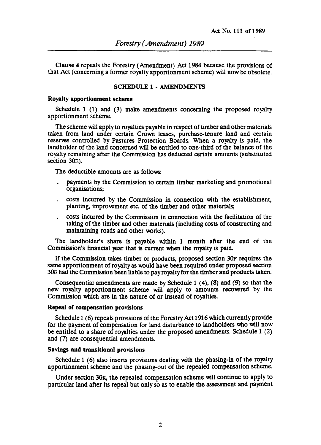Clause 4 repeals the Forestry (Amendment) Act 1984 because the provisions of that Act (concerning a former royalty apportionment scheme) will now be obsolete.

## SCHEDULE 1 • AMENDMENTS

#### Royalty apportionment scheme

Schedule 1 (1) and (3) make amendments concerning the proposed royalty apportionment scheme.

The scheme will apply to royalties payable in respect of timber and other materials taken from land under certain Crown leases, purchase-tenure land and certain reserves controlled by Pastures Protection Boards. When a royalty is paid, the landholder of the land concerned will be entitled to one-third of the balance of the royalty remaining after the Commission has deducted certain amounts (substituted section 30E).

The deductible amounts are as follows:

- payments by the Commission to certain timber marketing and promotional organisations;
- costs incurred by the Commission in connection with the establishment,  $\bullet$ planting, improvement etc. of the timber and other materials;
- costs incurred by the Commission in connection with the facilitation of the taking of the timber and other materials (including costs of constructing and maintaining roads and other works).

The landholder's share is payable within 1 month after the end of the Commission's financial year that is current when the royalty is paid.

If the Commission takes timber or products, proposed section 30F requires the same apportionment of royalty as would have been required under proposed section 30E had the Commission been liable to pay royalty for the timber and products taken.

Consequential amendments are made by Schedule  $1$  (4), (8) and (9) so that the new royalty apportionment scheme will apply to amounts recovered by the Commission which are in the nature of or instead of royalties.

#### Repeal of compensation provisions

Schedule 1 (6) repeals provisions of the Forestry Act 1916 which currently provide for the payment of compensation for land disturbance to landholders who will now be entitled to a share of royalties under the proposed amendments. Schedule  $1 (2)$ and (7) are consequential amendments.

#### SaYings and transitional provisions

Schedule  $1$  (6) also inserts provisions dealing with the phasing-in of the royalty apportionment scheme and the phasing·out of the repealed compensation scheme.

Under section 3OK, the repealed compensation scheme will continue to apply to particular land after its repeal but only so as to enable the assessment and payment